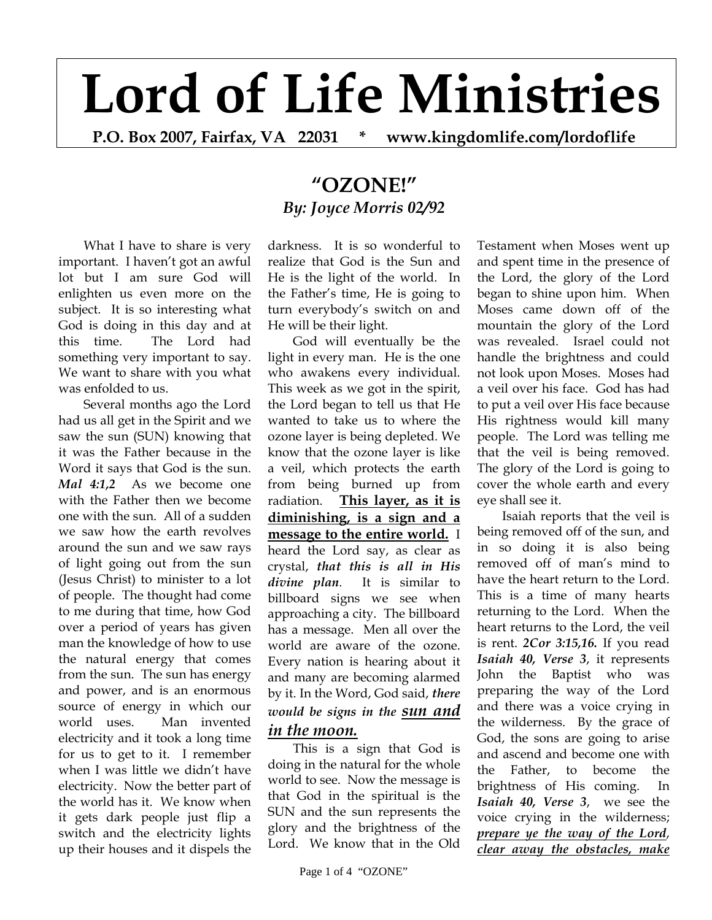## **Lord of Life Ministries**

**P.O. Box 2007, Fairfax, VA 22031 \* www.kingdomlife.com/lordoflife** 

## **"OZONE!"** *By: Joyce Morris 02/92*

What I have to share is very important. I haven't got an awful lot but I am sure God will enlighten us even more on the subject. It is so interesting what God is doing in this day and at this time. The Lord had something very important to say. We want to share with you what was enfolded to us.

Several months ago the Lord had us all get in the Spirit and we saw the sun (SUN) knowing that it was the Father because in the Word it says that God is the sun. *Mal 4:1,2* As we become one with the Father then we become one with the sun. All of a sudden we saw how the earth revolves around the sun and we saw rays of light going out from the sun (Jesus Christ) to minister to a lot of people. The thought had come to me during that time, how God over a period of years has given man the knowledge of how to use the natural energy that comes from the sun. The sun has energy and power, and is an enormous source of energy in which our world uses. Man invented electricity and it took a long time for us to get to it. I remember when I was little we didn't have electricity. Now the better part of the world has it. We know when it gets dark people just flip a switch and the electricity lights up their houses and it dispels the

darkness. It is so wonderful to realize that God is the Sun and He is the light of the world. In the Father's time, He is going to turn everybody's switch on and He will be their light.

God will eventually be the light in every man. He is the one who awakens every individual. This week as we got in the spirit, the Lord began to tell us that He wanted to take us to where the ozone layer is being depleted. We know that the ozone layer is like a veil, which protects the earth from being burned up from radiation. **This layer, as it is diminishing, is a sign and a message to the entire world.** I heard the Lord say, as clear as crystal, *that this is all in His divine plan*. It is similar to billboard signs we see when approaching a city. The billboard has a message. Men all over the world are aware of the ozone. Every nation is hearing about it and many are becoming alarmed by it. In the Word, God said, *there would be signs in the sun and in the moon.*

This is a sign that God is doing in the natural for the whole world to see. Now the message is that God in the spiritual is the SUN and the sun represents the glory and the brightness of the Lord. We know that in the Old

Testament when Moses went up and spent time in the presence of the Lord, the glory of the Lord began to shine upon him. When Moses came down off of the mountain the glory of the Lord was revealed. Israel could not handle the brightness and could not look upon Moses. Moses had a veil over his face. God has had to put a veil over His face because His rightness would kill many people. The Lord was telling me that the veil is being removed. The glory of the Lord is going to cover the whole earth and every eye shall see it.

Isaiah reports that the veil is being removed off of the sun, and in so doing it is also being removed off of man's mind to have the heart return to the Lord. This is a time of many hearts returning to the Lord. When the heart returns to the Lord, the veil is rent. *2Cor 3:15,16.* If you read *Isaiah 40, Verse 3*, it represents John the Baptist who was preparing the way of the Lord and there was a voice crying in the wilderness. By the grace of God, the sons are going to arise and ascend and become one with the Father, to become the brightness of His coming. In *Isaiah 40, Verse 3*, we see the voice crying in the wilderness; *prepare ye the way of the Lord*, *clear away the obstacles, make*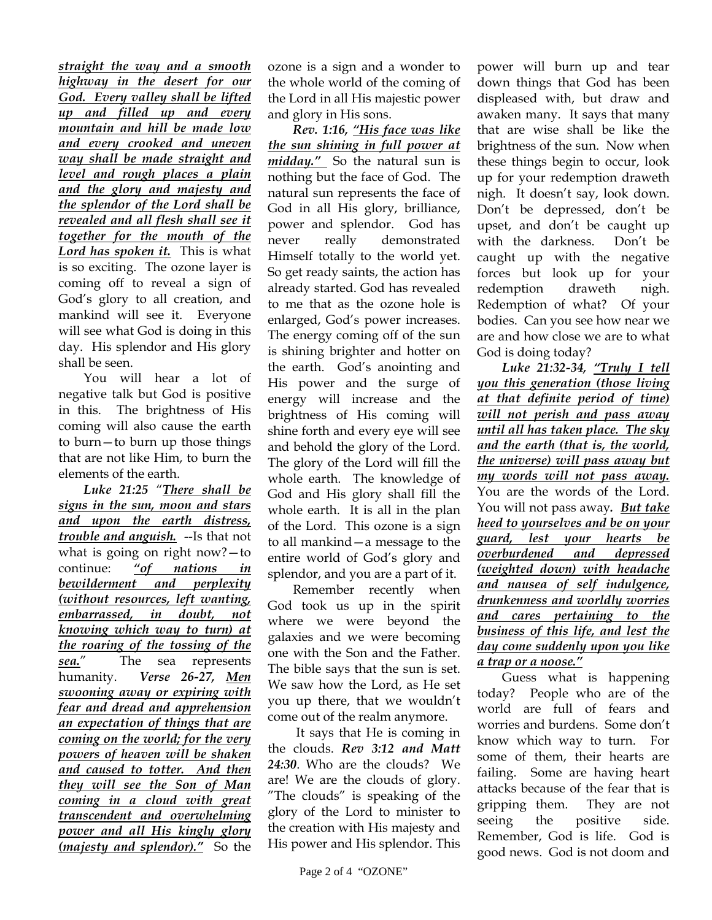*straight the way and a smooth highway in the desert for our God. Every valley shall be lifted up and filled up and every mountain and hill be made low and every crooked and uneven way shall be made straight and level and rough places a plain and the glory and majesty and the splendor of the Lord shall be revealed and all flesh shall see it together for the mouth of the Lord has spoken it.* This is what is so exciting. The ozone layer is coming off to reveal a sign of God's glory to all creation, and mankind will see it. Everyone will see what God is doing in this day. His splendor and His glory shall be seen.

You will hear a lot of negative talk but God is positive in this. The brightness of His coming will also cause the earth to burn—to burn up those things that are not like Him, to burn the elements of the earth.

*Luke 21:25* "*There shall be signs in the sun, moon and stars and upon the earth distress, trouble and anguish.* --Is that not what is going on right now?—to continue: *"of nations in bewilderment and perplexity (without resources, left wanting, embarrassed, in doubt, not knowing which way to turn) at the roaring of the tossing of the sea.*" The sea represents humanity. *Verse 26-27, Men swooning away or expiring with fear and dread and apprehension an expectation of things that are coming on the world; for the very powers of heaven will be shaken and caused to totter. And then they will see the Son of Man coming in a cloud with great transcendent and overwhelming power and all His kingly glory (majesty and splendor)."* So the

ozone is a sign and a wonder to the whole world of the coming of the Lord in all His majestic power and glory in His sons.

*Rev. 1:16, "His face was like the sun shining in full power at midday."* So the natural sun is nothing but the face of God. The natural sun represents the face of God in all His glory, brilliance, power and splendor. God has never really demonstrated Himself totally to the world yet. So get ready saints, the action has already started. God has revealed to me that as the ozone hole is enlarged, God's power increases. The energy coming off of the sun is shining brighter and hotter on the earth. God's anointing and His power and the surge of energy will increase and the brightness of His coming will shine forth and every eye will see and behold the glory of the Lord. The glory of the Lord will fill the whole earth. The knowledge of God and His glory shall fill the whole earth. It is all in the plan of the Lord. This ozone is a sign to all mankind—a message to the entire world of God's glory and splendor, and you are a part of it.

Remember recently when God took us up in the spirit where we were beyond the galaxies and we were becoming one with the Son and the Father. The bible says that the sun is set. We saw how the Lord, as He set you up there, that we wouldn't come out of the realm anymore.

 It says that He is coming in the clouds. *Rev 3:12 and Matt 24:30*. Who are the clouds? We are! We are the clouds of glory. "The clouds" is speaking of the glory of the Lord to minister to the creation with His majesty and His power and His splendor. This

power will burn up and tear down things that God has been displeased with, but draw and awaken many. It says that many that are wise shall be like the brightness of the sun. Now when these things begin to occur, look up for your redemption draweth nigh. It doesn't say, look down. Don't be depressed, don't be upset, and don't be caught up with the darkness. Don't be caught up with the negative forces but look up for your redemption draweth nigh. Redemption of what? Of your bodies. Can you see how near we are and how close we are to what God is doing today?

*Luke 21:32-34, "Truly I tell you this generation (those living at that definite period of time) will not perish and pass away until all has taken place. The sky and the earth (that is, the world, the universe) will pass away but my words will not pass away.* You are the words of the Lord. You will not pass away*. But take heed to yourselves and be on your guard, lest your hearts be overburdened and depressed (weighted down) with headache and nausea of self indulgence, drunkenness and worldly worries and cares pertaining to the business of this life, and lest the day come suddenly upon you like a trap or a noose."*

Guess what is happening today? People who are of the world are full of fears and worries and burdens. Some don't know which way to turn. For some of them, their hearts are failing. Some are having heart attacks because of the fear that is gripping them. They are not seeing the positive side. Remember, God is life. God is good news. God is not doom and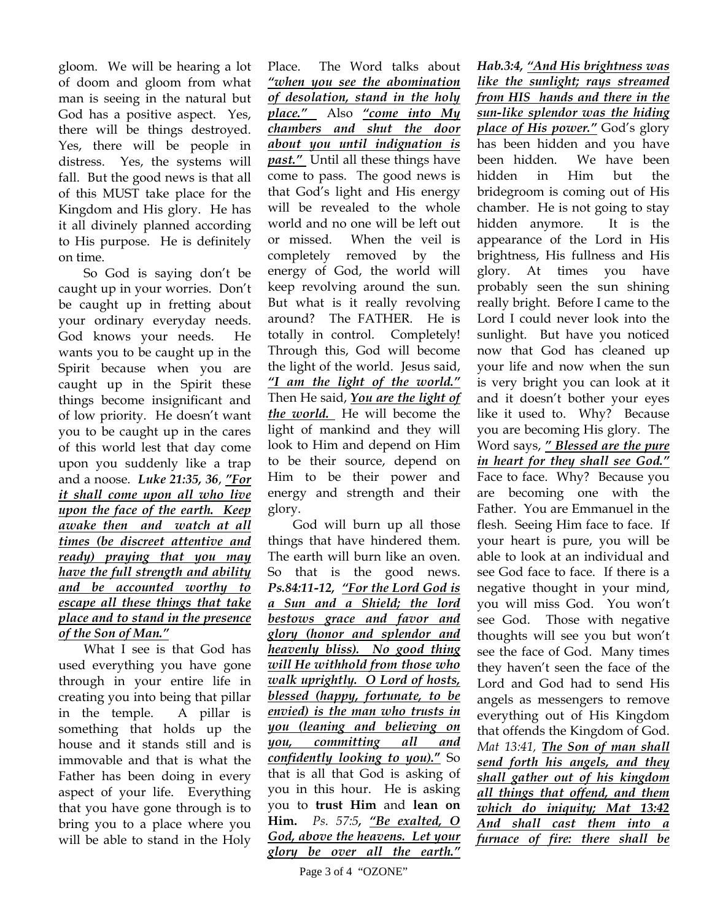gloom. We will be hearing a lot of doom and gloom from what man is seeing in the natural but God has a positive aspect. Yes, there will be things destroyed. Yes, there will be people in distress. Yes, the systems will fall. But the good news is that all of this MUST take place for the Kingdom and His glory. He has it all divinely planned according to His purpose. He is definitely on time.

So God is saying don't be caught up in your worries. Don't be caught up in fretting about your ordinary everyday needs. God knows your needs. He wants you to be caught up in the Spirit because when you are caught up in the Spirit these things become insignificant and of low priority. He doesn't want you to be caught up in the cares of this world lest that day come upon you suddenly like a trap and a noose. *Luke 21:35, 36*, *"For it shall come upon all who live upon the face of the earth. Keep awake then and watch at all times (be discreet attentive and ready) praying that you may have the full strength and ability and be accounted worthy to escape all these things that take place and to stand in the presence of the Son of Man."*

What I see is that God has used everything you have gone through in your entire life in creating you into being that pillar in the temple. A pillar is something that holds up the house and it stands still and is immovable and that is what the Father has been doing in every aspect of your life. Everything that you have gone through is to bring you to a place where you will be able to stand in the Holy

Place. The Word talks about *"when you see the abomination of desolation, stand in the holy place."* Also *"come into My chambers and shut the door about you until indignation is past."* Until all these things have come to pass. The good news is that God's light and His energy will be revealed to the whole world and no one will be left out or missed. When the veil is completely removed by the energy of God, the world will keep revolving around the sun. But what is it really revolving around? The FATHER. He is totally in control. Completely! Through this, God will become the light of the world. Jesus said, *"I am the light of the world."*  Then He said, *You are the light of the world.* He will become the light of mankind and they will look to Him and depend on Him to be their source, depend on Him to be their power and energy and strength and their glory.

God will burn up all those things that have hindered them. The earth will burn like an oven. So that is the good news. *Ps.84:11-12, "For the Lord God is a Sun and a Shield; the lord bestows grace and favor and glory (honor and splendor and heavenly bliss). No good thing will He withhold from those who walk uprightly. O Lord of hosts, blessed (happy, fortunate, to be envied) is the man who trusts in you (leaning and believing on you, committing all and confidently looking to you).***"** So that is all that God is asking of you in this hour. He is asking you to **trust Him** and **lean on Him.** *Ps. 57:5, "Be exalted, O God, above the heavens. Let your glory be over all the earth."* 

brightness, His fullness and His glory. At times you have probably seen the sun shining really bright. Before I came to the Lord I could never look into the sunlight. But have you noticed now that God has cleaned up your life and now when the sun is very bright you can look at it and it doesn't bother your eyes like it used to. Why? Because you are becoming His glory. The Word says, *" Blessed are the pure in heart for they shall see God."* Face to face. Why? Because you are becoming one with the Father. You are Emmanuel in the flesh. Seeing Him face to face. If your heart is pure, you will be able to look at an individual and see God face to face. If there is a negative thought in your mind, you will miss God. You won't see God. Those with negative thoughts will see you but won't see the face of God. Many times they haven't seen the face of the Lord and God had to send His angels as messengers to remove everything out of His Kingdom that offends the Kingdom of God. *Mat 13:41, The Son of man shall* 

*Hab.3:4, "And His brightness was like the sunlight; rays streamed from HIS hands and there in the sun-like splendor was the hiding place of His power."* God's glory has been hidden and you have been hidden. We have been hidden in Him but the bridegroom is coming out of His chamber. He is not going to stay hidden anymore. It is the appearance of the Lord in His

*send forth his angels, and they shall gather out of his kingdom all things that offend, and them which do iniquity; Mat 13:42 And shall cast them into a furnace of fire: there shall be*